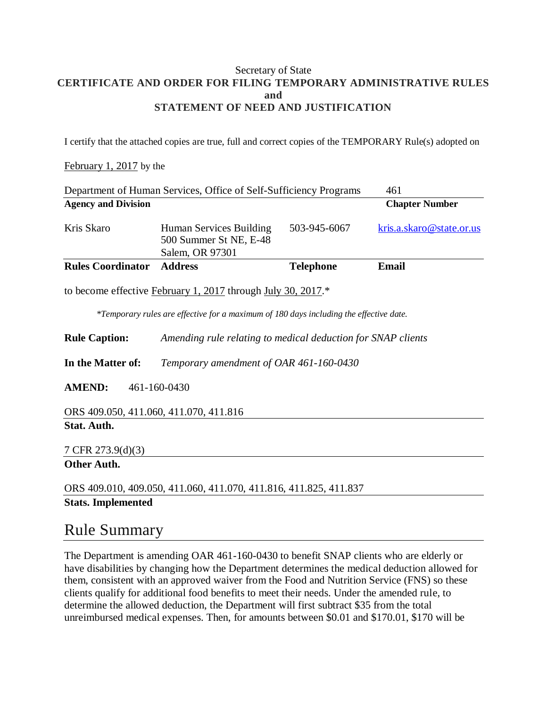#### Secretary of State **CERTIFICATE AND ORDER FOR FILING TEMPORARY ADMINISTRATIVE RULES and STATEMENT OF NEED AND JUSTIFICATION**

I certify that the attached copies are true, full and correct copies of the TEMPORARY Rule(s) adopted on

#### February 1, 2017 by the

| Department of Human Services, Office of Self-Sufficiency Programs |                                                                      |                  | 461                      |
|-------------------------------------------------------------------|----------------------------------------------------------------------|------------------|--------------------------|
| <b>Agency and Division</b>                                        |                                                                      |                  | <b>Chapter Number</b>    |
| Kris Skaro                                                        | Human Services Building<br>500 Summer St NE, E-48<br>Salem, OR 97301 | 503-945-6067     | kris.a.skaro@state.or.us |
| <b>Rules Coordinator</b>                                          | <b>Address</b>                                                       | <b>Telephone</b> | Email                    |
| to become effective February 1, 2017 through July 30, 2017.*      |                                                                      |                  |                          |

*\*Temporary rules are effective for a maximum of 180 days including the effective date.*

**Rule Caption:** *Amending rule relating to medical deduction for SNAP clients*

**In the Matter of:** *Temporary amendment of OAR 461-160-0430*

**AMEND:** 461-160-0430

ORS 409.050, 411.060, 411.070, 411.816 **Stat. Auth.**

7 CFR 273.9(d)(3)

**Other Auth.**

ORS 409.010, 409.050, 411.060, 411.070, 411.816, 411.825, 411.837 **Stats. Implemented**

### Rule Summary

The Department is amending OAR 461-160-0430 to benefit SNAP clients who are elderly or have disabilities by changing how the Department determines the medical deduction allowed for them, consistent with an approved waiver from the Food and Nutrition Service (FNS) so these clients qualify for additional food benefits to meet their needs. Under the amended rule, to determine the allowed deduction, the Department will first subtract \$35 from the total unreimbursed medical expenses. Then, for amounts between \$0.01 and \$170.01, \$170 will be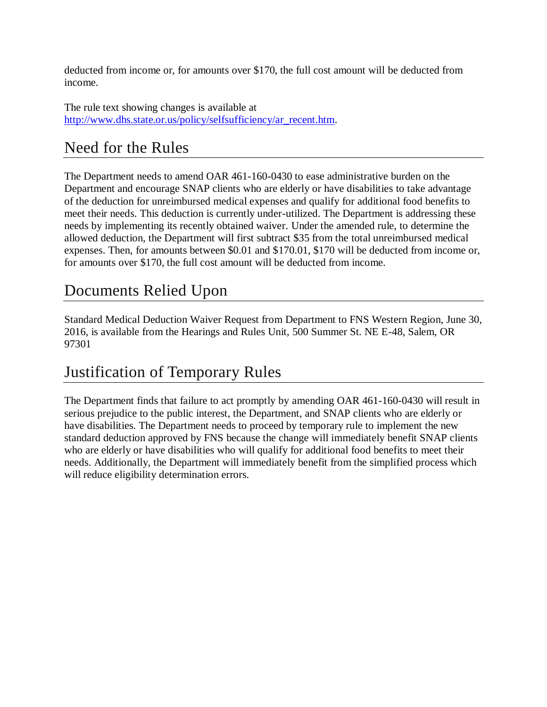deducted from income or, for amounts over \$170, the full cost amount will be deducted from income.

The rule text showing changes is available at [http://www.dhs.state.or.us/policy/selfsufficiency/ar\\_recent.htm.](http://www.dhs.state.or.us/policy/selfsufficiency/ar_recent.htm)

# Need for the Rules

The Department needs to amend OAR 461-160-0430 to ease administrative burden on the Department and encourage SNAP clients who are elderly or have disabilities to take advantage of the deduction for unreimbursed medical expenses and qualify for additional food benefits to meet their needs. This deduction is currently under-utilized. The Department is addressing these needs by implementing its recently obtained waiver. Under the amended rule, to determine the allowed deduction, the Department will first subtract \$35 from the total unreimbursed medical expenses. Then, for amounts between \$0.01 and \$170.01, \$170 will be deducted from income or, for amounts over \$170, the full cost amount will be deducted from income.

## Documents Relied Upon

Standard Medical Deduction Waiver Request from Department to FNS Western Region, June 30, 2016, is available from the Hearings and Rules Unit, 500 Summer St. NE E-48, Salem, OR 97301

## Justification of Temporary Rules

The Department finds that failure to act promptly by amending OAR 461-160-0430 will result in serious prejudice to the public interest, the Department, and SNAP clients who are elderly or have disabilities. The Department needs to proceed by temporary rule to implement the new standard deduction approved by FNS because the change will immediately benefit SNAP clients who are elderly or have disabilities who will qualify for additional food benefits to meet their needs. Additionally, the Department will immediately benefit from the simplified process which will reduce eligibility determination errors.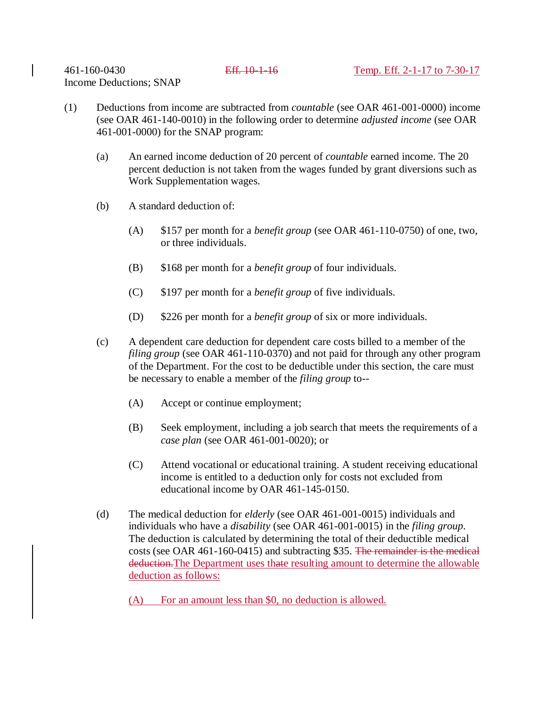Income Deductions; SNAP

- (1) Deductions from income are subtracted from *countable* (see OAR 461-001-0000) income (see OAR 461-140-0010) in the following order to determine *adjusted income* (see OAR 461-001-0000) for the SNAP program:
	- (a) An earned income deduction of 20 percent of *countable* earned income. The 20 percent deduction is not taken from the wages funded by grant diversions such as Work Supplementation wages.
	- (b) A standard deduction of:
		- (A) \$157 per month for a *benefit group* (see OAR 461-110-0750) of one, two, or three individuals.
		- (B) \$168 per month for a *benefit group* of four individuals.
		- (C) \$197 per month for a *benefit group* of five individuals.
		- (D) \$226 per month for a *benefit group* of six or more individuals.
	- (c) A dependent care deduction for dependent care costs billed to a member of the *filing group* (see OAR 461-110-0370) and not paid for through any other program of the Department. For the cost to be deductible under this section, the care must be necessary to enable a member of the *filing group* to--
		- (A) Accept or continue employment;
		- (B) Seek employment, including a job search that meets the requirements of a *case plan* (see OAR 461-001-0020); or
		- (C) Attend vocational or educational training. A student receiving educational income is entitled to a deduction only for costs not excluded from educational income by OAR 461-145-0150.
	- (d) The medical deduction for *elderly* (see OAR 461-001-0015) individuals and individuals who have a *disability* (see OAR 461-001-0015) in the *filing group*. The deduction is calculated by determining the total of their deductible medical costs (see OAR 461-160-0415) and subtracting \$35. The remainder is the medical deduction.The Department uses thate resulting amount to determine the allowable deduction as follows:
		- (A) For an amount less than \$0, no deduction is allowed.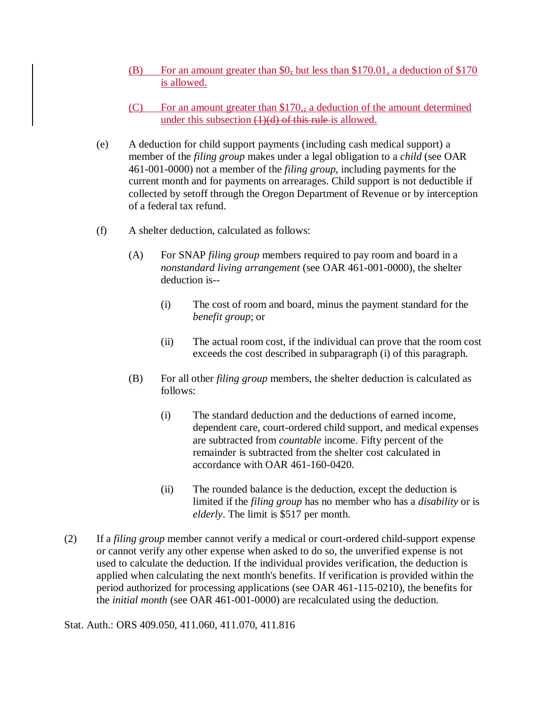- (B) For an amount greater than \$0, but less than \$170.01, a deduction of \$170 is allowed.
- (C) For an amount greater than  $$170,$ , a deduction of the amount determined under this subsection  $(1)(d)$  of this rule is allowed.
- (e) A deduction for child support payments (including cash medical support) a member of the *filing group* makes under a legal obligation to a *child* (see OAR 461-001-0000) not a member of the *filing group*, including payments for the current month and for payments on arrearages. Child support is not deductible if collected by setoff through the Oregon Department of Revenue or by interception of a federal tax refund.
- (f) A shelter deduction, calculated as follows:
	- (A) For SNAP *filing group* members required to pay room and board in a *nonstandard living arrangement* (see OAR 461-001-0000), the shelter deduction is--
		- (i) The cost of room and board, minus the payment standard for the *benefit group*; or
		- (ii) The actual room cost, if the individual can prove that the room cost exceeds the cost described in subparagraph (i) of this paragraph.
	- (B) For all other *filing group* members, the shelter deduction is calculated as follows:
		- (i) The standard deduction and the deductions of earned income, dependent care, court-ordered child support, and medical expenses are subtracted from *countable* income. Fifty percent of the remainder is subtracted from the shelter cost calculated in accordance with OAR 461-160-0420.
		- (ii) The rounded balance is the deduction, except the deduction is limited if the *filing group* has no member who has a *disability* or is *elderly*. The limit is \$517 per month.
- (2) If a *filing group* member cannot verify a medical or court-ordered child-support expense or cannot verify any other expense when asked to do so, the unverified expense is not used to calculate the deduction. If the individual provides verification, the deduction is applied when calculating the next month's benefits. If verification is provided within the period authorized for processing applications (see OAR 461-115-0210), the benefits for the *initial month* (see OAR 461-001-0000) are recalculated using the deduction.

Stat. Auth.: ORS 409.050, 411.060, 411.070, 411.816